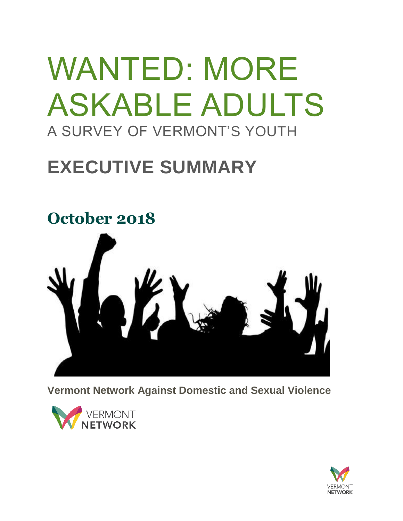# WANTED: MORE ASKABLE ADULTS A SURVEY OF VERMONT'S YOUTH

## **EXECUTIVE SUMMARY**



**Vermont Network Against Domestic and Sexual Violence**



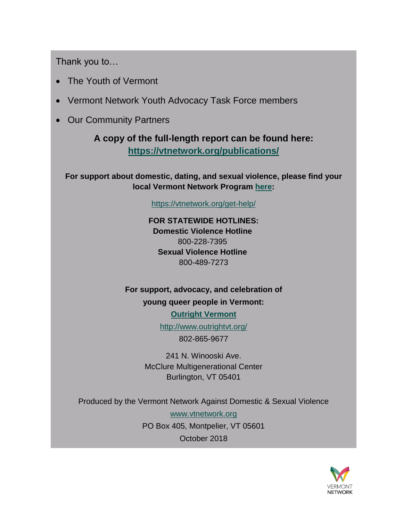Thank you to…

- The Youth of Vermont
- Vermont Network Youth Advocacy Task Force members
- Our Community Partners

#### **A copy of the full-length report can be found here: <https://vtnetwork.org/publications/>**

**For support about domestic, dating, and sexual violence, please find your local Vermont Network Program [here:](https://vtnetwork.org/get-help/)**

<https://vtnetwork.org/get-help/>

**FOR STATEWIDE HOTLINES: Domestic Violence Hotline** 800-228-7395 **Sexual Violence Hotline** 800-489-7273

**For support, advocacy, and celebration of young queer people in Vermont:**

**[Outright Vermont](http://www.outrightvt.org/)**

<http://www.outrightvt.org/>

802-865-9677

241 N. Winooski Ave. McClure Multigenerational Center Burlington, VT 05401

Produced by the Vermont Network Against Domestic & Sexual Violence

[www.vtnetwork.org](http://www.vtnetwork.org/) PO Box 405, Montpelier, VT 05601 October 2018

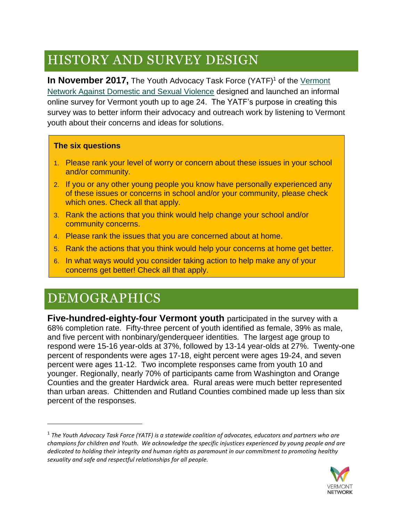### HISTORY AND SURVEY DESIGN

**In November 2017, The Youth Advocacy Task Force (YATF)<sup>1</sup> of the Vermont** [Network Against Domestic and Sexual Violence](http://www.vtnetwork.org/) designed and launched an informal online survey for Vermont youth up to age 24. The YATF's purpose in creating this survey was to better inform their advocacy and outreach work by listening to Vermont youth about their concerns and ideas for solutions.

#### **The six questions**

- 1. Please rank your level of worry or concern about these issues in your school and/or community.
- 2. If you or any other young people you know have personally experienced any of these issues or concerns in school and/or your community, please check which ones. Check all that apply.
- 3. Rank the actions that you think would help change your school and/or community concerns.
- 4. Please rank the issues that you are concerned about at home.
- 5. Rank the actions that you think would help your concerns at home get better.
- 6. In what ways would you consider taking action to help make any of your concerns get better! Check all that apply.

### DEMOGRAPHICS

 $\overline{a}$ 

**Five-hundred-eighty-four Vermont youth** participated in the survey with a 68% completion rate. Fifty-three percent of youth identified as female, 39% as male, and five percent with nonbinary/genderqueer identities. The largest age group to respond were 15-16 year-olds at 37%, followed by 13-14 year-olds at 27%. Twenty-one percent of respondents were ages 17-18, eight percent were ages 19-24, and seven percent were ages 11-12. Two incomplete responses came from youth 10 and younger. Regionally, nearly 70% of participants came from Washington and Orange Counties and the greater Hardwick area. Rural areas were much better represented than urban areas. Chittenden and Rutland Counties combined made up less than six percent of the responses.

<sup>1</sup> *The Youth Advocacy Task Force (YATF) is a statewide coalition of advocates, educators and partners who are champions for children and Youth. We acknowledge the specific injustices experienced by young people and are dedicated to holding their integrity and human rights as paramount in our commitment to promoting healthy sexuality and safe and respectful relationships for all people.*

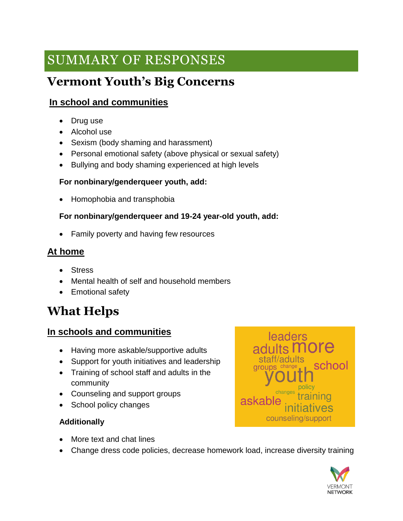### SUMMARY OF RESPONSES

### **Vermont Youth's Big Concerns**

#### **In school and communities**

- Drug use
- Alcohol use
- Sexism (body shaming and harassment)
- Personal emotional safety (above physical or sexual safety)
- Bullying and body shaming experienced at high levels

#### **For nonbinary/genderqueer youth, add:**

• Homophobia and transphobia

#### **For nonbinary/genderqueer and 19-24 year-old youth, add:**

• Family poverty and having few resources

#### **At home**

- Stress
- Mental health of self and household members
- Emotional safety

### **What Helps**

#### **In schools and communities**

- Having more askable/supportive adults
- Support for youth initiatives and leadership
- Training of school staff and adults in the community
- Counseling and support groups
- School policy changes

#### **Additionally**

- More text and chat lines
- Change dress code policies, decrease homework load, increase diversity training



**leaders** staff/adults school **Groups** change askal counseling/support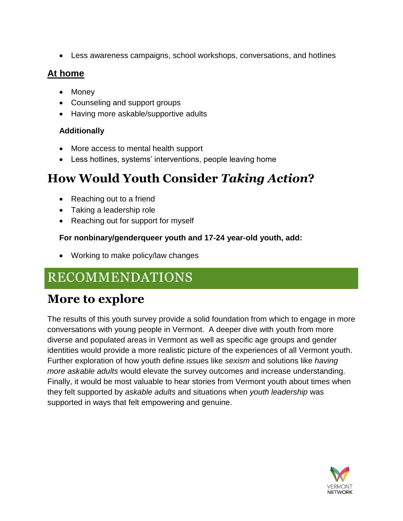• Less awareness campaigns, school workshops, conversations, and hotlines

#### **At home**

- Money
- Counseling and support groups
- Having more askable/supportive adults

#### **Additionally**

- More access to mental health support
- Less hotlines, systems' interventions, people leaving home

### **How Would Youth Consider** *Taking Action***?**

- Reaching out to a friend
- Taking a leadership role
- Reaching out for support for myself

#### **For nonbinary/genderqueer youth and 17-24 year-old youth, add:**

• Working to make policy/law changes

### RECOMMENDATIONS

### **More to explore**

The results of this youth survey provide a solid foundation from which to engage in more conversations with young people in Vermont. A deeper dive with youth from more diverse and populated areas in Vermont as well as specific age groups and gender identities would provide a more realistic picture of the experiences of all Vermont youth. Further exploration of how youth define issues like *sexism* and solutions like *having more askable adults* would elevate the survey outcomes and increase understanding. Finally, it would be most valuable to hear stories from Vermont youth about times when they felt supported by *askable adults* and situations when *youth leadership* was supported in ways that felt empowering and genuine.